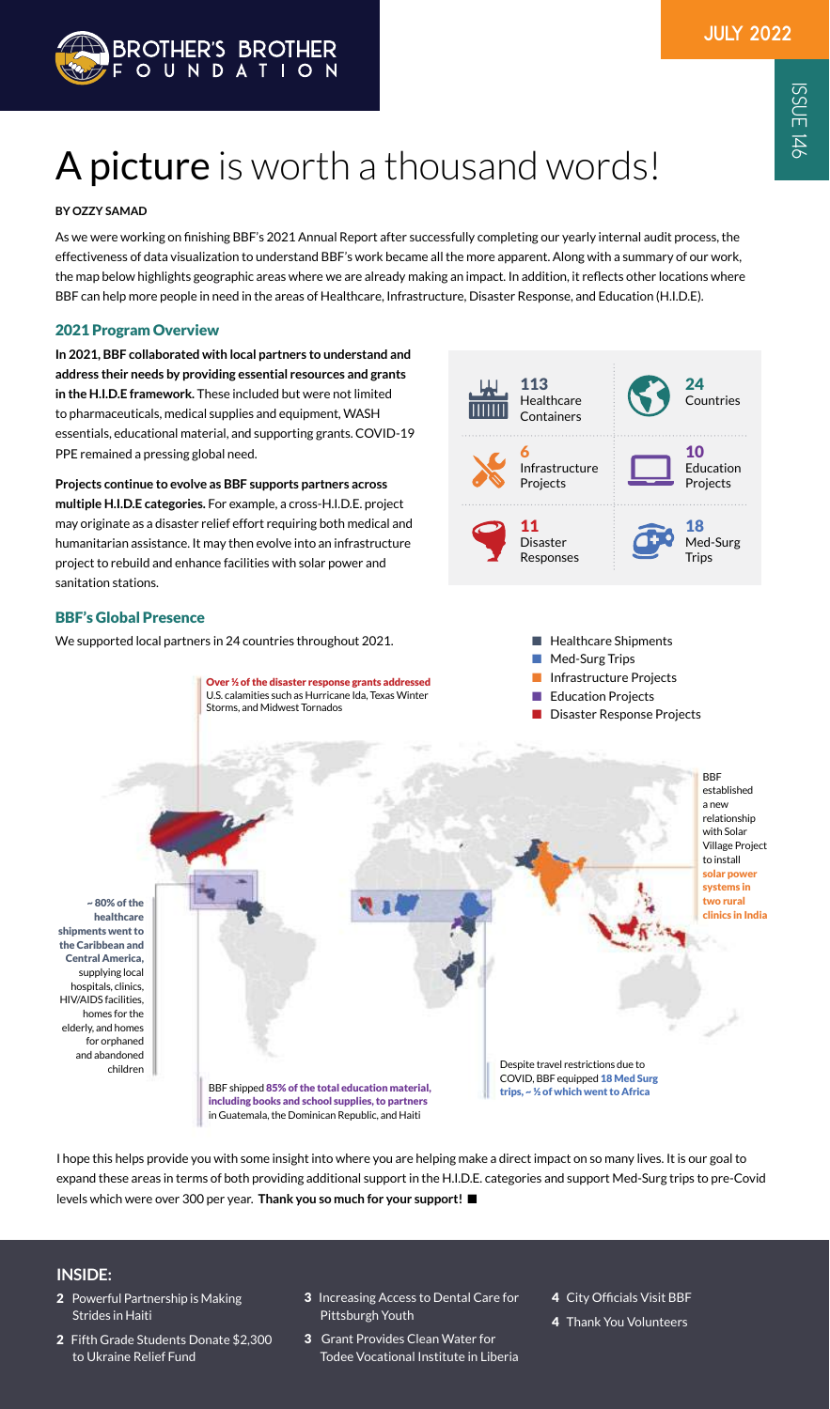As we were working on finishing BBF's 2021 Annual Report after successfully completing our yearly internal audit process, the effectiveness of data visualization to understand BBF's work became all the more apparent. Along with a summary of our work, the map below highlights geographic areas where we are already making an impact. In addition, it reflects other locations where BBF can help more people in need in the areas of Healthcare, Infrastructure, Disaster Response, and Education (H.I.D.E).

# A picture is worth a thousand words!

### **BY OZZY SAMAD**

### **INSIDE:**

- 2 Powerful Partnership is Making Strides in Haiti
- 2 Fifth Grade Students Donate \$2,300 to Ukraine Relief Fund
- 3 Increasing Access to Dental Care for Pittsburgh Youth
- 3 Grant Provides Clean Water for Todee Vocational Institute in Liberia
- 4 City Officials Visit BBF
- 4 Thank You Volunteers



I hope this helps provide you with some insight into where you are helping make a direct impact on so many lives. It is our goal to expand these areas in terms of both providing additional support in the H.I.D.E. categories and support Med-Surg trips to pre-Covid levels which were over 300 per year. **Thank you so much for your support!** ■

Over ½ of the disaster response grants addressed U.S. calamities such as Hurricane Ida, Texas Winter

Storms, and Midwest Tornados

BBF shipped 85% of the total education material, including books and school supplies, to partners in Guatemala, the Dominican Republic, and Haiti

BBF established a new relationship with Solar Village Project to install solar power systems in two rural clinics in India ~ 80% of the healthcare shipments went to the Caribbean and Central America, supplying local hospitals, clinics, HIV/AIDS facilities, homes for the elderly, and homes

> Despite travel restrictions due to COVID, BBF equipped 18 Med Surg trips, ~ ½ of which went to Africa

for orphaned and abandoned children



- Med-Surg Trips
- Infrastructure Projects
- **Education Projects**
- **Disaster Response Projects**



### 2021 Program Overview

**In 2021, BBF collaborated with local partners to understand and address their needs by providing essential resources and grants in the H.I.D.E framework.** These included but were not limited to pharmaceuticals, medical supplies and equipment, WASH essentials, educational material, and supporting grants. COVID-19 PPE remained a pressing global need.

**Projects continue to evolve as BBF supports partners across multiple H.I.D.E categories.** For example, a cross-H.I.D.E. project may originate as a disaster relief effort requiring both medical and humanitarian assistance. It may then evolve into an infrastructure project to rebuild and enhance facilities with solar power and sanitation stations.

### BBF's Global Presence

We supported local partners in 24 countries throughout 2021.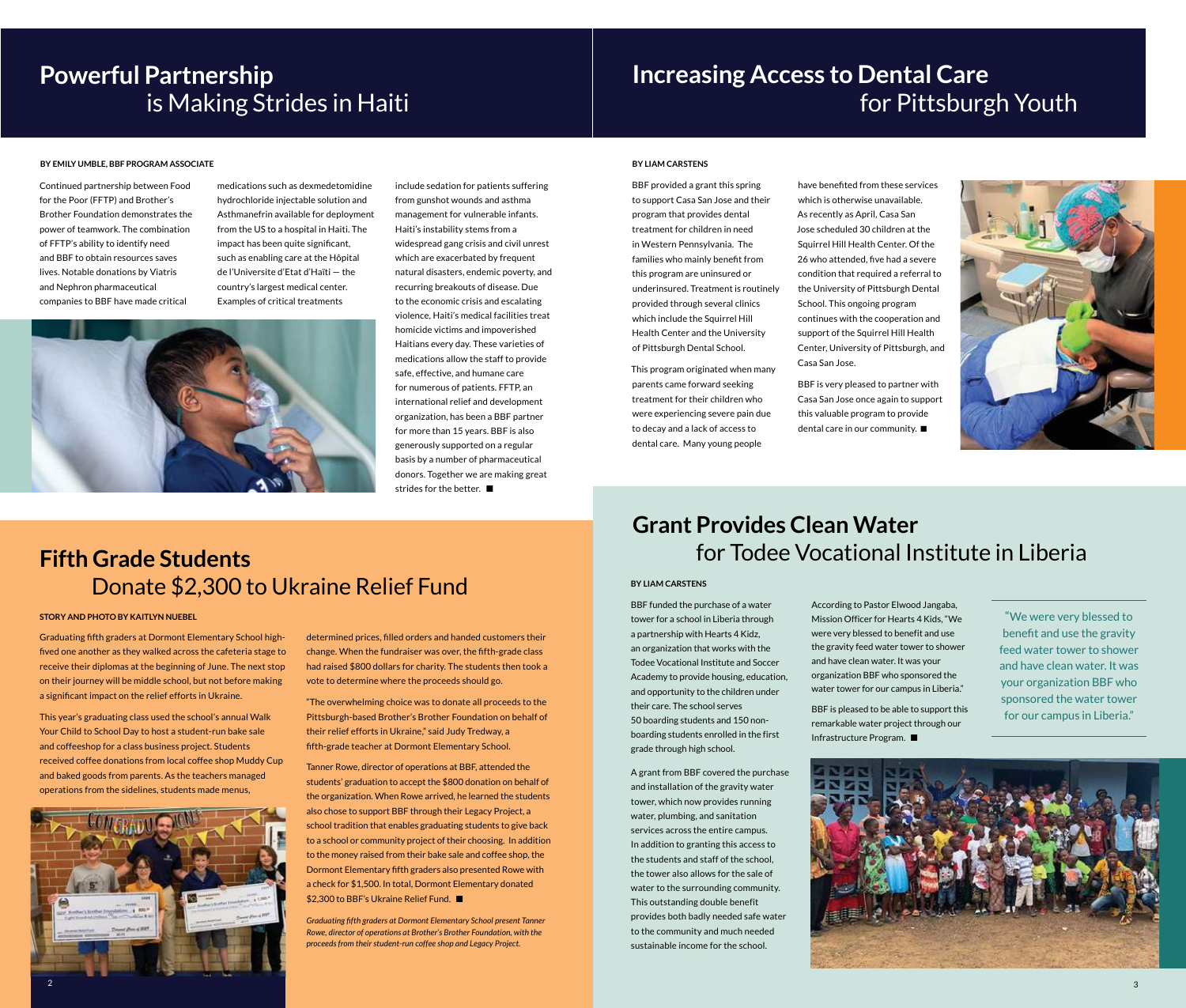Continued partnership between Food for the Poor (FFTP) and Brother's Brother Foundation demonstrates the power of teamwork. The combination of FFTP's ability to identify need and BBF to obtain resources saves lives. Notable donations by Viatris and Nephron pharmaceutical companies to BBF have made critical

medications such as dexmedetomidine hydrochloride injectable solution and Asthmanefrin available for deployment from the US to a hospital in Haiti. The impact has been quite significant, such as enabling care at the Hôpital de l'Universite d'Etat d'Haïti — the country's largest medical center. Examples of critical treatments



include sedation for patients suffering from gunshot wounds and asthma management for vulnerable infants. Haiti's instability stems from a widespread gang crisis and civil unrest which are exacerbated by frequent natural disasters, endemic poverty, and recurring breakouts of disease. Due to the economic crisis and escalating violence, Haiti's medical facilities treat homicide victims and impoverished Haitians every day. These varieties of medications allow the staff to provide safe, effective, and humane care for numerous of patients. FFTP, an international relief and development organization, has been a BBF partner for more than 15 years. BBF is also generously supported on a regular basis by a number of pharmaceutical donors. Together we are making great strides for the better. ■

Tanner Rowe, director of operations at BBF, attended the students' graduation to accept the \$800 donation on behalf of the organization. When Rowe arrived, he learned the students also chose to support BBF through their Legacy Project, a school tradition that enables graduating students to give back to a school or community project of their choosing. In addition to the money raised from their bake sale and coffee shop, the Dormont Elementary fifth graders also presented Rowe with a check for \$1,500. In total, Dormont Elementary donated \$2,300 to BBF's Ukraine Relief Fund. ■

# **Powerful Partnership**  is Making Strides in Haiti

# **Increasing Access to Dental Care**  for Pittsburgh Youth

Graduating fifth graders at Dormont Elementary School highfived one another as they walked across the cafeteria stage to receive their diplomas at the beginning of June. The next stop on their journey will be middle school, but not before making a significant impact on the relief efforts in Ukraine.

This year's graduating class used the school's annual Walk Your Child to School Day to host a student-run bake sale and coffeeshop for a class business project. Students received coffee donations from local coffee shop Muddy Cup and baked goods from parents. As the teachers managed operations from the sidelines, students made menus,



determined prices, filled orders and handed customers their change. When the fundraiser was over, the fifth-grade class had raised \$800 dollars for charity. The students then took a vote to determine where the proceeds should go.

"The overwhelming choice was to donate all proceeds to the Pittsburgh-based Brother's Brother Foundation on behalf of their relief efforts in Ukraine," said Judy Tredway, a fifth-grade teacher at Dormont Elementary School.

According to Pastor Elwood Jangaba, Mission Officer for Hearts 4 Kids, "We were very blessed to benefit and use the gravity feed water tower to shower and have clean water. It was your organization BBF who sponsored the water tower for our campus in Liberia." **STORY AND PHOTO BY KAITLYN NUEBEL** STORY AND PHOTO BY KAITLYN NUEBEL THE STORY AND PHOTO BY KAITLYN NUEBEL THE STORY AND PHOTO BY KAITLYN NUEBEL THE STORY AND PHOTO BY KAITLYN NUEBEL

> *Graduating fifth graders at Dormont Elementary School present Tanner Rowe, director of operations at Brother's Brother Foundation, with the proceeds from their student-run coffee shop and Legacy Project.*

BBF provided a grant this spring to support Casa San Jose and their program that provides dental treatment for children in need in Western Pennsylvania. The families who mainly benefit from this program are uninsured or underinsured. Treatment is routinely provided through several clinics which include the Squirrel Hill Health Center and the University of Pittsburgh Dental School.

This program originated when many parents came forward seeking treatment for their children who were experiencing severe pain due to decay and a lack of access to dental care. Many young people

have benefited from these services which is otherwise unavailable. As recently as April, Casa San Jose scheduled 30 children at the Squirrel Hill Health Center. Of the 26 who attended, five had a severe condition that required a referral to the University of Pittsburgh Dental School. This ongoing program continues with the cooperation and support of the Squirrel Hill Health Center, University of Pittsburgh, and Casa San Jose.

BBF is very pleased to partner with Casa San Jose once again to support this valuable program to provide dental care in our community. ■



BBF funded the purchase of a water tower for a school in Liberia through a partnership with Hearts 4 Kidz, an organization that works with the Todee Vocational Institute and Soccer Academy to provide housing, education, and opportunity to the children under their care. The school serves 50 boarding students and 150 nonboarding students enrolled in the first grade through high school.

A grant from BBF covered the purchase and installation of the gravity water tower, which now provides running water, plumbing, and sanitation services across the entire campus. In addition to granting this access to the students and staff of the school, the tower also allows for the sale of water to the surrounding community. This outstanding double benefit provides both badly needed safe water to the community and much needed sustainable income for the school.

BBF is pleased to be able to support this remarkable water project through our Infrastructure Program. ■

# **Grant Provides Clean Water**  for Todee Vocational Institute in Liberia

### **BY EMILY UMBLE, BBF PROGRAM ASSOCIATE BY LIAM CARSTENS**

### **BY LIAM CARSTENS**

## **Fifth Grade Students** Donate \$2,300 to Ukraine Relief Fund

benefit and use the gravity feed water tower to shower and have clean water. It was your organization BBF who sponsored the water tower for our campus in Liberia."